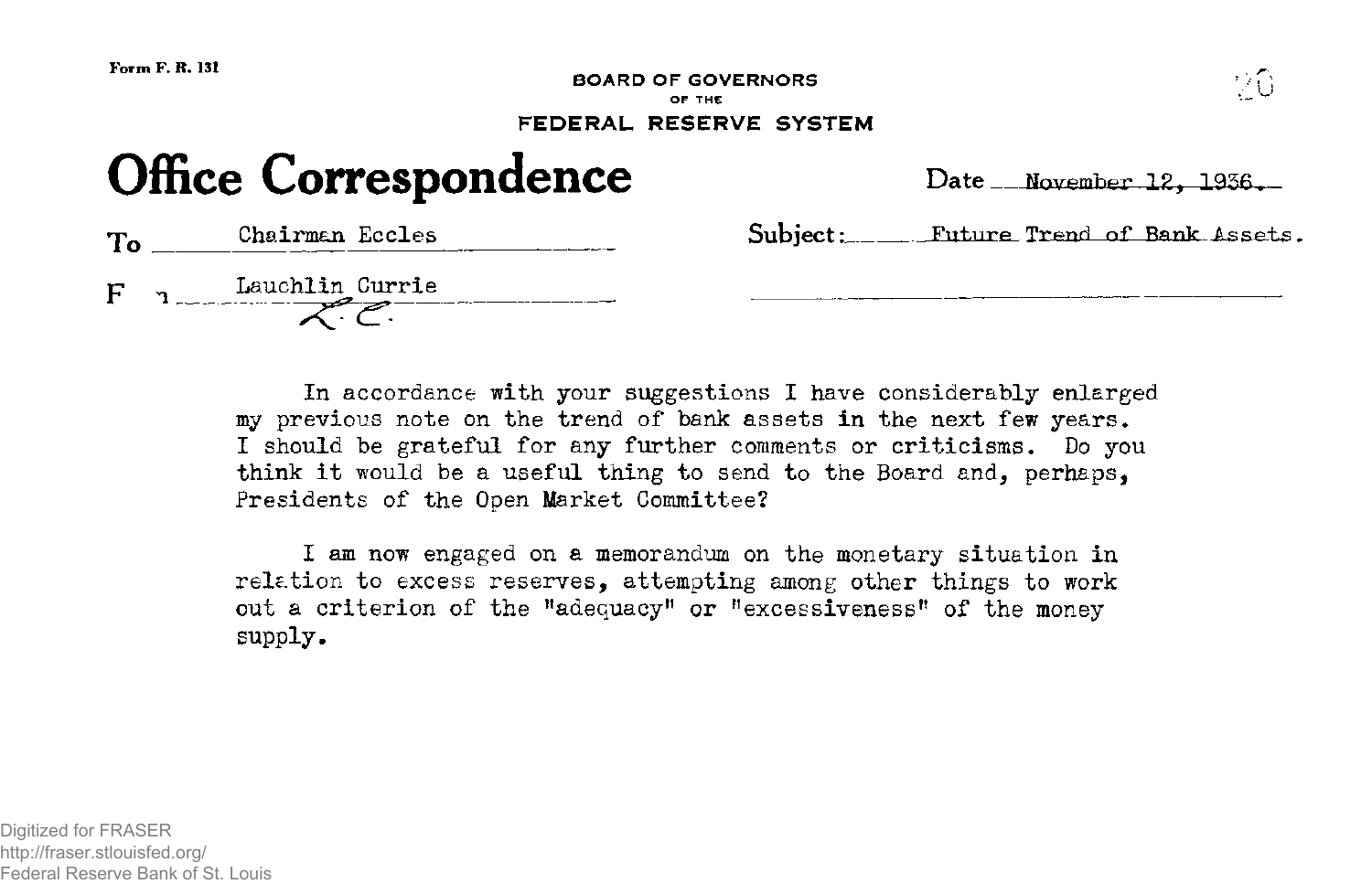**FEDERAL RESERVE SYSTEM Office Correspondence**  Date \_\_ November  $12, 1936$ . Subject: Future Trend of Bank Assets. To Chairman Eccles  $F \rightarrow$  Lauchlin Currie

> In accordance with your suggestions I have considerably enlarged my previous note on the trend of bank assets in the next few years. I should be grateful for any further comments or criticisms. Do you think it would be a useful thing to send to the Board and, perhaps, Presidents of the Open Market Committee?

I am now engaged on a memorandum on the monetary situation in relation to excess reserves, attempting among other things to work out a criterion of the "adequacy" or "excessiveness" of the money supply.



**BOARD OF GOVERNORS OF THE**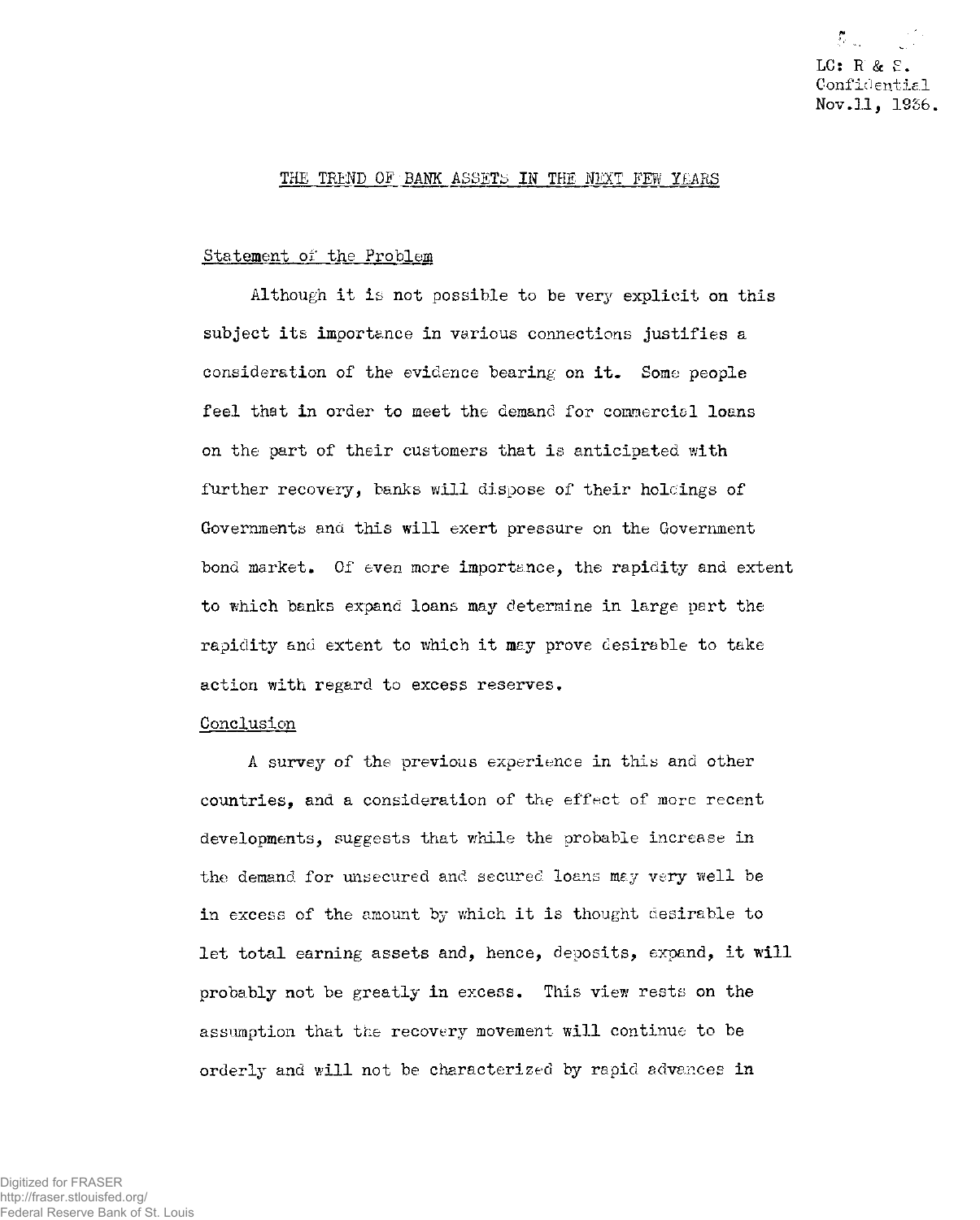# $\sum_{i=1}^{n}$ LC: R & S. Confidential Nov.11, 1956.

### THE TREND OF BANK ASSETS IN THE NEXT FEW YEARS

### Statement of the Problem

Although it is not possible to be very explicit on this subject its importance in various connections justifies a consideration of the evidence bearing on it. Some people feel that in order to meet the demand for commercial loans on the part of their customers that is anticipated with further recovery, banks will dispose of their holdings of Governments and this will exert pressure on the Government bond market. Of even more importance, the rapidity and extent to which banks expand loans may determine in large part the rapidity and extent to which it may prove desirable to take action with regard to excess reserves.

#### Conclusion

A survey of the previous experience in this and other countries, and a consideration of the effect of more recent developments, suggests that while the probable increase in the demand for unsecured and secured loans may very well be in excess of the amount by which it is thought desirable to let total earning assets and, hence, deposits, expand, it will probably not be greatly in excess. This view rests on the assumption that the recovery movement will continue to be orderly and will not be characterized by rapid advances in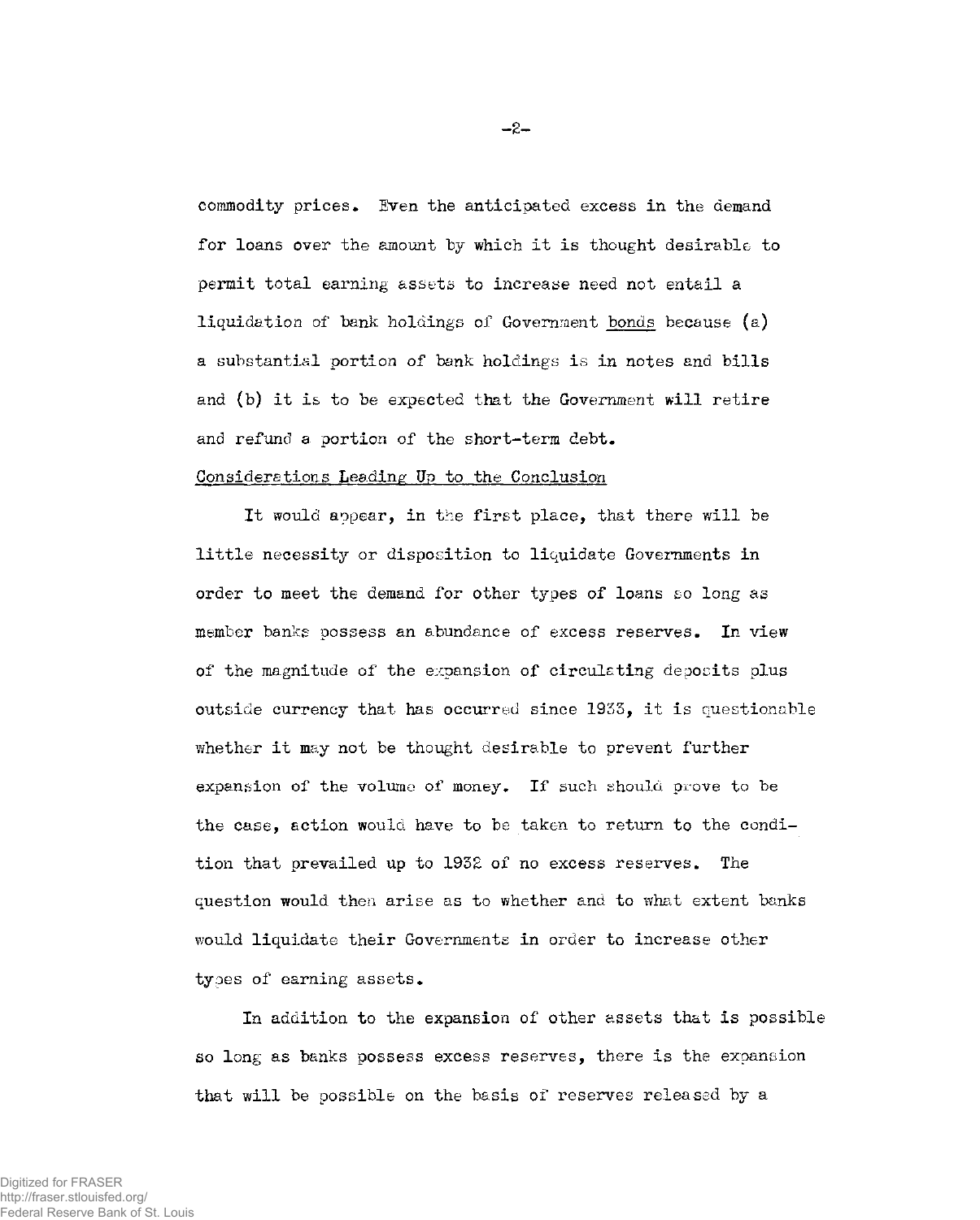commodity prices. Even the anticipated excess in the demand for loans over the amount by which it is thought desirable to permit total earning assets to increase need not entail a liquidation of bank holdings of Government bonds because (a) a substantial portion of bank holdings is in notes and bills and (b) it is to be expected that the Government will retire and refund a portion of the short-term debt.

### Considerations Leading Up to the Conclusion

It would appear, in the first place, that there will be little necessity or disposition to liquidate Governments in order to meet the demand for other types of loans so long as member banks possess an abundance of excess reserves. In view of the magnitude of the expansion of circulating deposits plus outside currency that has occurred since 1933, it is questionable whether it may not be thought desirable to prevent further expansion of the volume of money. If such should prove to be the case, action would have to be taken to return to the condition that prevailed up to 1932 of no excess reserves. The question would then arise as to whether and to what extent banks would liquidate their Governments in order to increase other types of earning assets.

In addition to the expansion of other assets that is possible so long as banks possess excess reserves, there is the expansion that will be possible on the basis of reserves released by a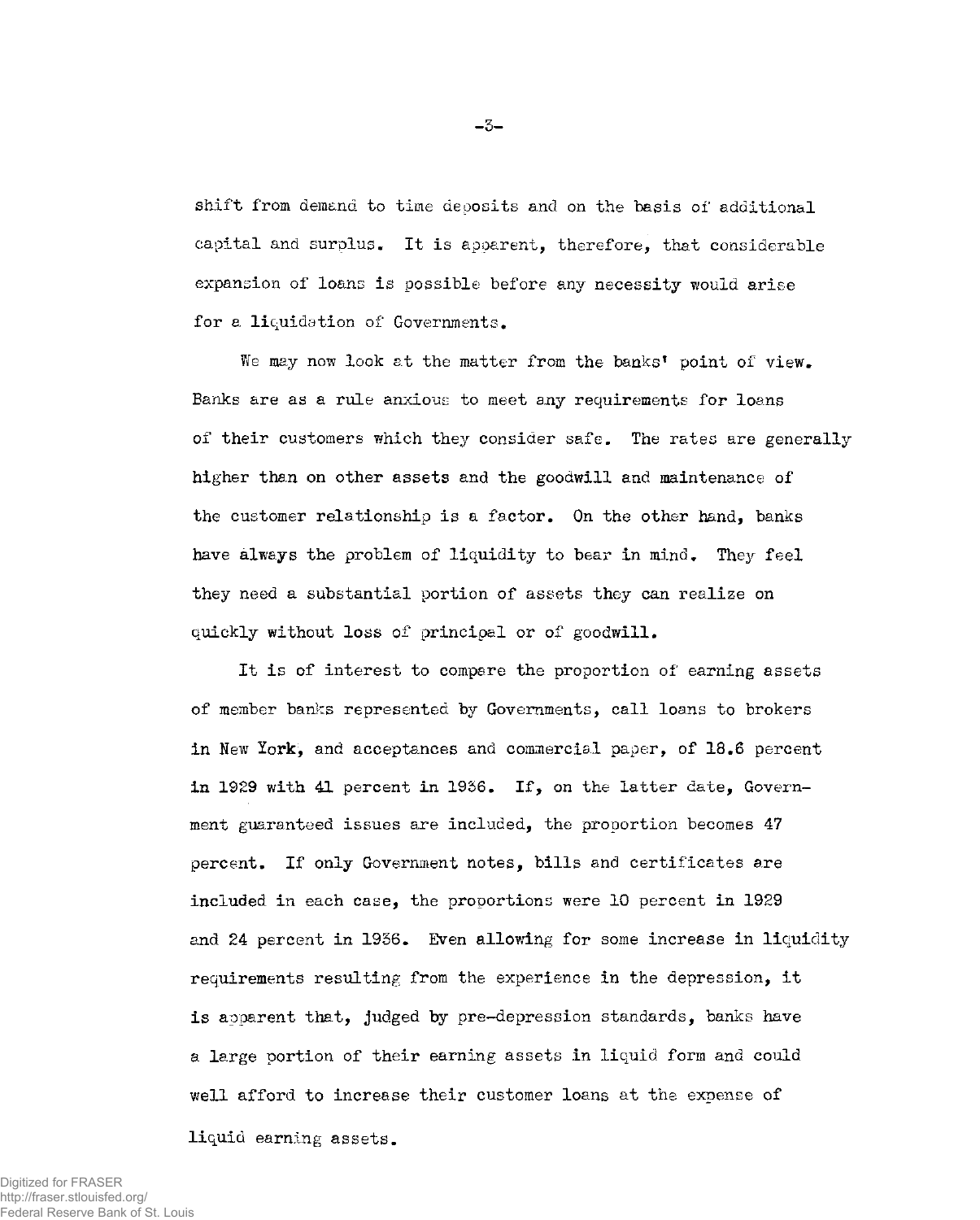shift from demand to time deposits and on the basis of additional capital and surplus. It is apparent, therefore, that considerable expansion of loans is possible before any necessity would arise for a liquidation of Governments.

We may now look at the matter from the banks' point of view. Banks are as a rule anxious to meet any requirements for loans of their customers which they consider safe. The rates are generally higher than on other assets and the goodwill and maintenance of the customer relationship is a factor. On the other hand, banks have always the problem of liquidity to bear in mind. They feel they need a substantial portion of assets they can realize on quickly without loss of principal or of goodwill.

It is of interest to compare the proportion of earning assets of member banks represented by Governments, call loans to brokers in New York, and acceptances and commercial paper, of 18.6 percent in 1929 with 41 percent in 1956. If, on the latter date, Government guaranteed issues are included, the proportion becomes 47 percent. If only Government notes, bills and certificates are included in each case, the proportions were 10 percent in 1929 and 24 percent in 1956. Even allowing for some increase in liquidity requirements resulting from the experience in the depression, it is apparent that, judged by pre-depression standards, banks have a large portion of their earning assets in liquid form and could well afford to increase their customer loans at the expense of

liquid earning assets.

 $-5-$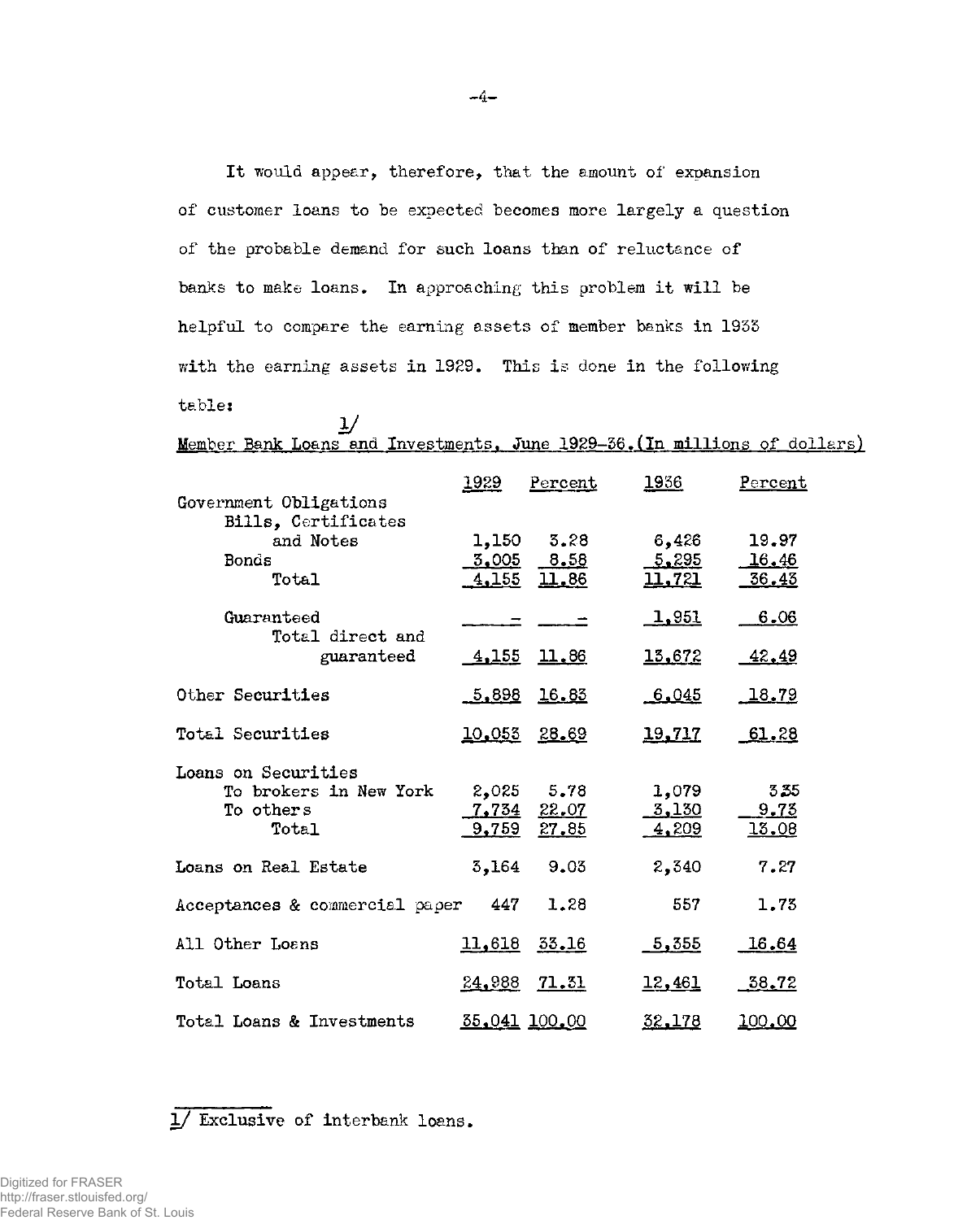| It would appear, therefore, that the amount of expansion         |
|------------------------------------------------------------------|
| of customer loans to be expected becomes more largely a question |
| of the probable demand for such loans than of reluctance of      |
| banks to make loans. In approaching this problem it will be      |
| helpful to compare the earning assets of member banks in 1933    |
| with the earning assets in 1929. This is done in the following   |
| ${\tt table:}$                                                   |

| Government Obligations                                              | <u> 1929 </u>    | Percent                                     | <u> 1936 </u>            | Percent                 |  |
|---------------------------------------------------------------------|------------------|---------------------------------------------|--------------------------|-------------------------|--|
| Bills, Certificates<br>and Notes<br>Bonds<br>Total                  |                  | 1,150 3.28<br>$3,005$ $8,58$<br>4,155 11.86 | 6,426<br>5.295<br>11,721 | 19.97<br>16.46<br>36.43 |  |
| Guaranteed                                                          |                  |                                             | <u>1,951</u>             | 6.06                    |  |
| Total direct and<br>guaranteed                                      |                  | 4,155 11.86                                 | 13,672                   | <u>42.49</u>            |  |
| Other Securities                                                    |                  | <u>5,898</u> 16.83                          | 6,045                    | 18.79                   |  |
| Total Securities                                                    | <u>10,053</u>    | 28,69                                       | 19,717                   | <u>61.28</u>            |  |
| Loans on Securities<br>To brokers in New York<br>To others<br>Total | 9,759            | $2,025$ 5.78<br>7,734 22.07<br>27.85        | 1,079<br>3,130<br>4,209  | 3.35<br>9.73<br>13.08   |  |
| Loans on Real Estate                                                |                  | $3,164$ 9.03                                | 2,340                    | 7.27                    |  |
| Acceptances & commercial paper 447                                  |                  | 1.28                                        | 557                      | 1.73                    |  |
| All Other Loans                                                     | 11,618 33.16     |                                             | <u>5,355</u>             | 16.64                   |  |
| Total Loans                                                         | $24,988$ $71.51$ |                                             | <u>12,461</u>            | 38.72                   |  |
| Total Loans & Investments                                           | 35,041 100.00    |                                             | 32,178                   | 100.00                  |  |

 $\underline{\mathbf{1}}$ Member Bank Loans and Investments. June 1929-56.(In millions of dollars)

*1/* Exclusive of interbank loans.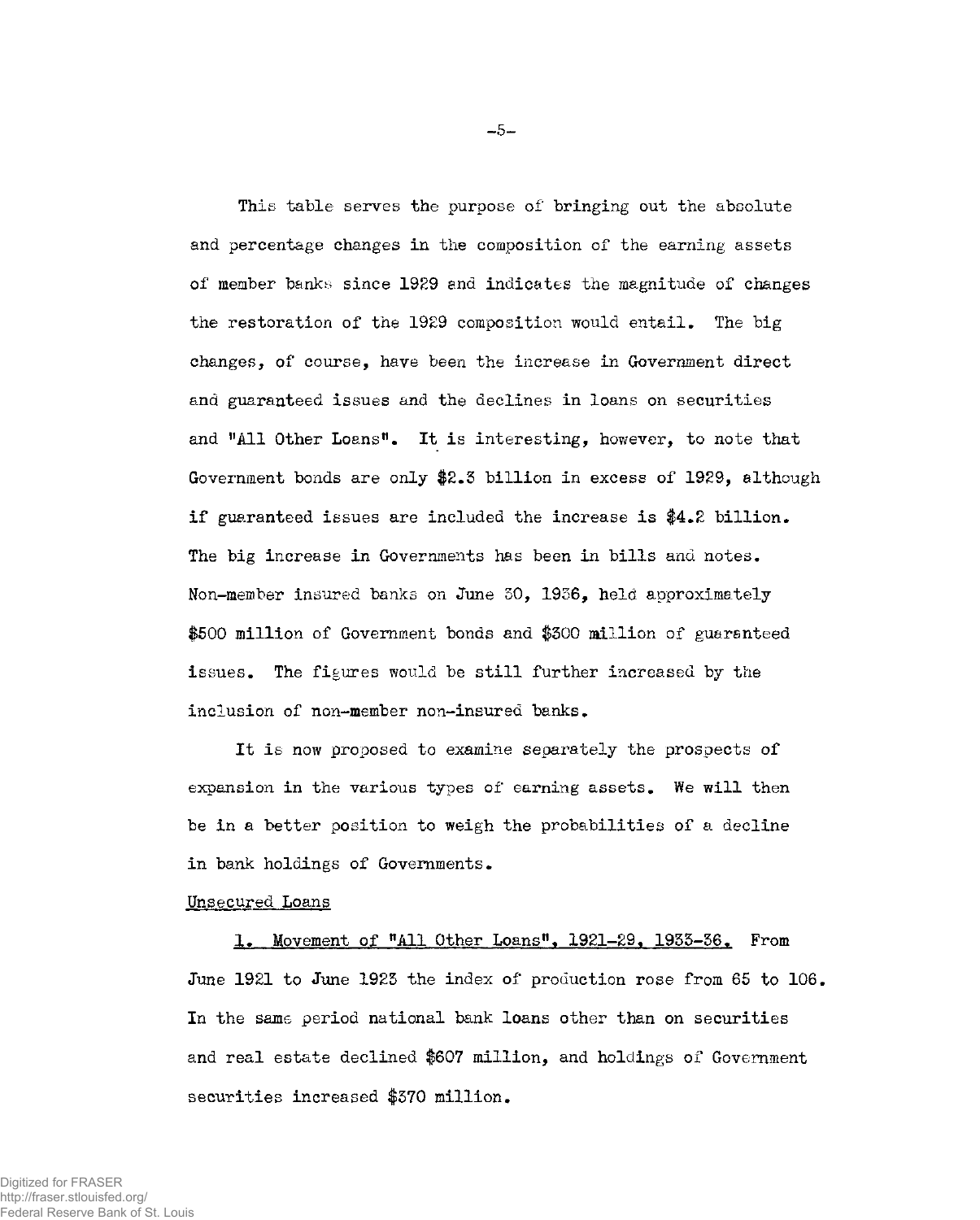This table serves the purpose of bringing out the absolute and percentage changes in the composition of the earning assets of member banks since 1929 and indicates the magnitude of changes the restoration of the 1929 composition would entail. The big changes, of course, have been the increase in Government direct and guaranteed issues and the declines in loans on securities and "All Other Loans". It is interesting, however, to note that Government bonds are only \$2.5 billion in excess of 1929, although if guaranteed issues are included the increase is \$4.2 billion. The big increase in Governments has been in bills and notes. Non-member insured banks on June 50, 1956, held approximately \$500 million of Government bonds and \$500 million of guaranteed issues. The figures would be still further increased by the inclusion of non-member non-insured banks.

It is now proposed to examine separately the prospects of expansion in the various types of earning assets. We will then be in a better position to weigh the probabilities of a decline in bank holdings of Governments.

#### Unsecured Loans

1. Movement of "All Other Loans", 1921-29, 1935-56. From June 1921 to June 1925 the index of production rose from 65 to 106. In the same period national bank loans other than on securities and real estate declined \$607 million, and holdings of Government securities increased \$370 million.

**-5-**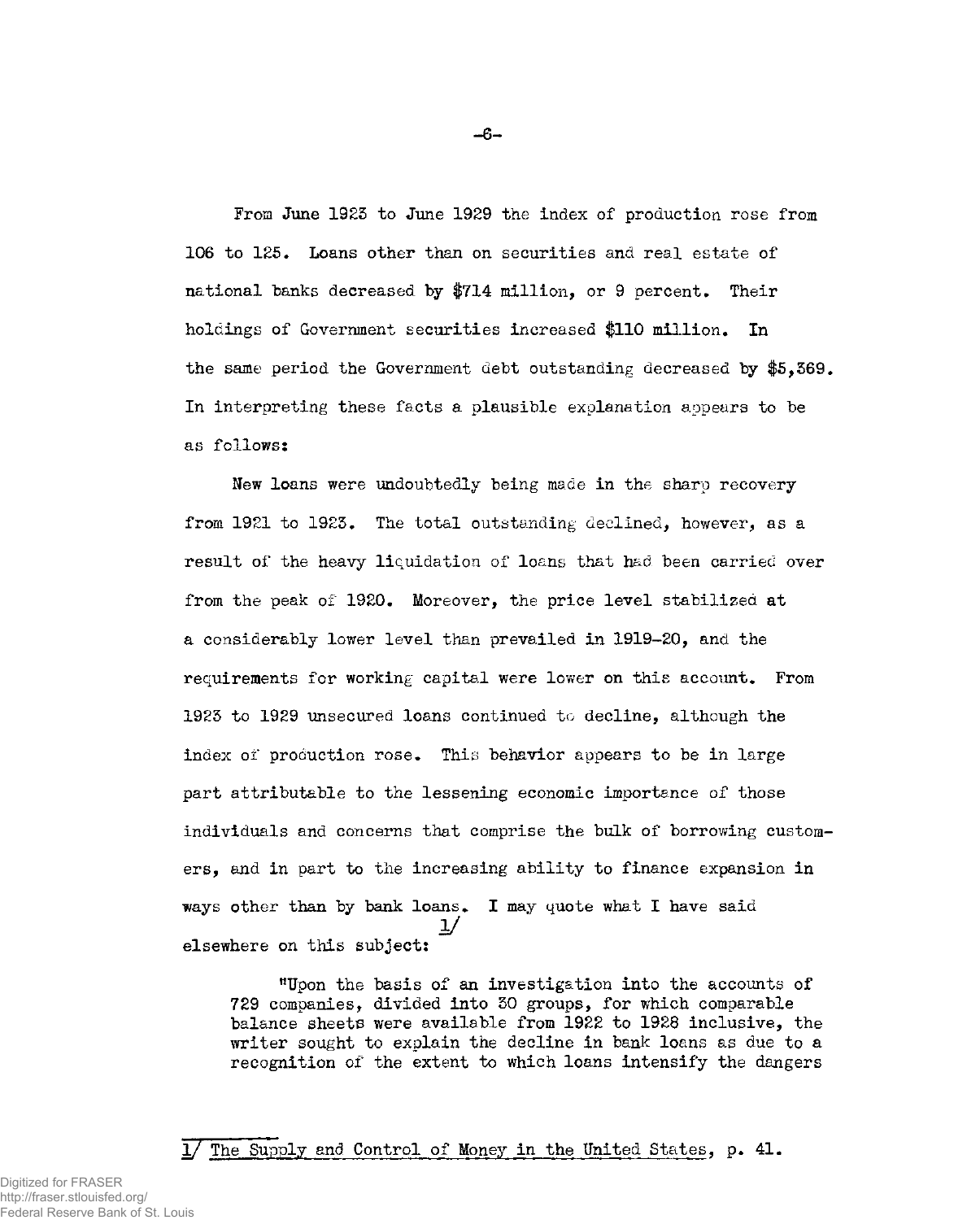From June 1923 to June 1929 the index of production rose from 106 to 125. Loans other than on securities and real estate of national banks decreased by \$714 million, or 9 percent. Their holdings of Government securities increased \$110 million. In the same period the Government debt outstanding decreased by \$5,369. In interpreting these facts a plausible explanation appears to be as follows:

New loans were undoubtedly being made in the sharp recovery from 1921 to 1923. The total outstanding declined, however, as a result of the heavy liquidation of loans that had been carried over from the peak of 1920. Moreover, the price level stabilized at a considerably lower level than prevailed in 1919-20, and the requirements for working capital were lower on this account. From 1923 to 1929 unsecured loans continued to decline, although the index of production rose. This behavior appears to be in large part attributable to the lessening economic importance of those individuals and concerns that comprise the bulk of borrowing customers, and in part to the increasing ability to finance expansion in ways other than by bank loans. I may quote what I have said  $\overline{r}$ elsewhere on this subject:

!!Upon the basis of an investigation into the accounts of 729 companies, divided into 30 groups, for which comparable balance sheets were available from 1922 to 1928 inclusive, the writer sought to explain the decline in bank loans as due to a recognition of the extent to which loans intensify the dangers

The Supply and Control of Money in the United States, p. 41.

**-6-**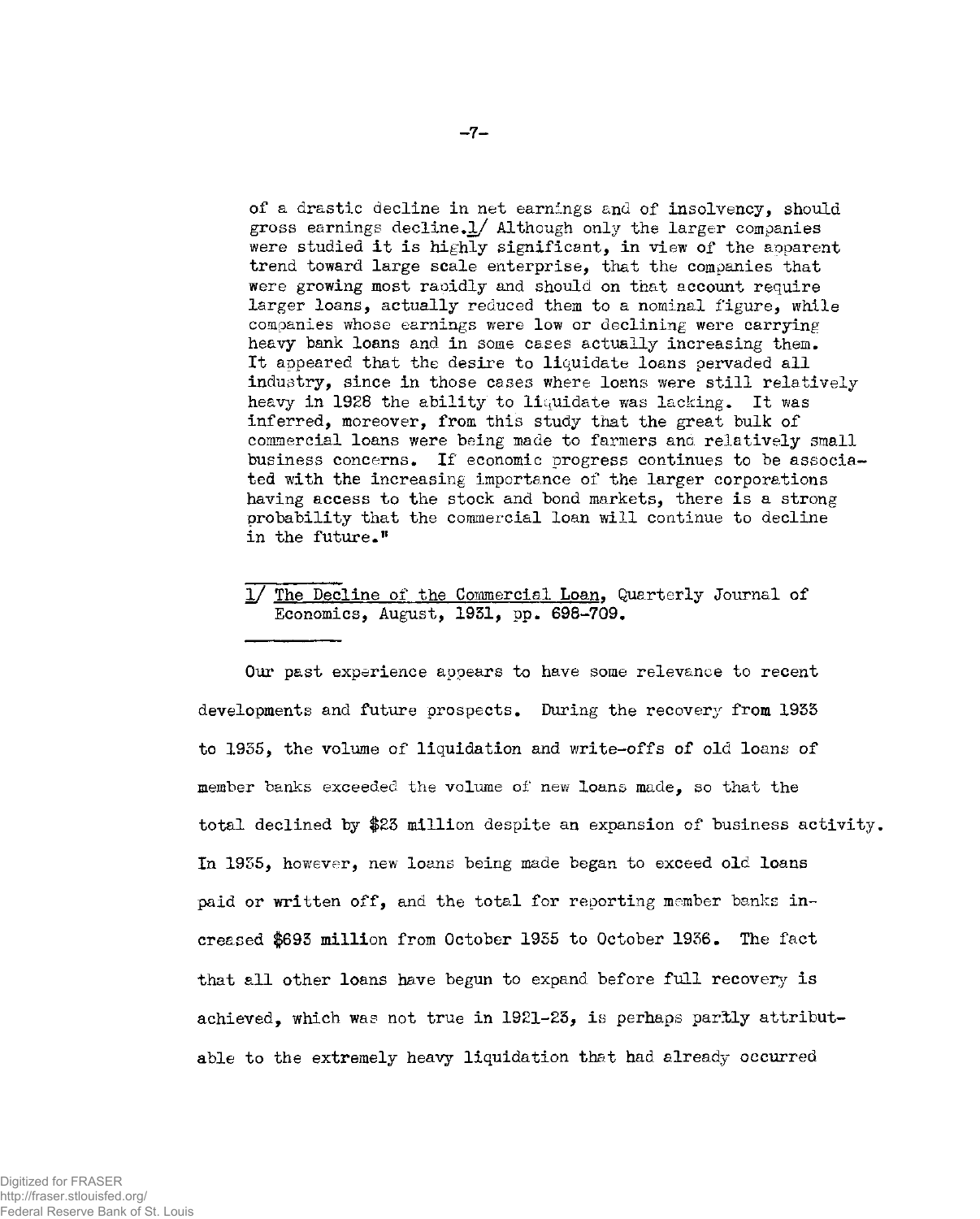of a drastic decline in net earnings and of insolvency, should gross earnings decline. $1/$  Although only the larger companies were studied it is highly significant, in view of the apparent trend toward large scale enterprise, that the companies that were growing most rapidly and should on that account require larger loans, actually reduced them to a nominal figure, while companies whose earnings were low or declining were carrying heavy bank loans and in some cases actually increasing them. It appeared that the desire to liquidate loans pervaded all industry, since in those cases where loans were still relatively heavy in 1928 the ability to liquidate was lacking. It was inferred, moreover, from this study that the great bulk of commercial loans were being made to farmers and relatively small business concerns. If economic progress continues to be associated with the increasing importance of the larger corporations having access to the stock and bond markets, there is a strong probability that the commercial loan will continue to decline in the future.<sup> $#$ </sup>

1/ The Decline of the Commercial Loan, Quarterly Journal of Economics, August, 1931, pp. 698-709.

Our past experience appears to have some relevance to recent developments and future prospects. During the recovery from 19S5 to 1955, the volume of liquidation and write-offs of old loans of member banks exceeded the volume of new loans made, so that the total declined by \$23 million despite an expansion of business activity. In 1935, however, new loans being made began to exceed old loans paid or written off, and the total for reporting member banks increased \$693 million from October 1935 to October 1936. The fact that all other loans have begun to expand before full recovery is achieved, which was not true in 1921-23, is perhaps partly attributable to the extremely heavy liquidation that had already occurred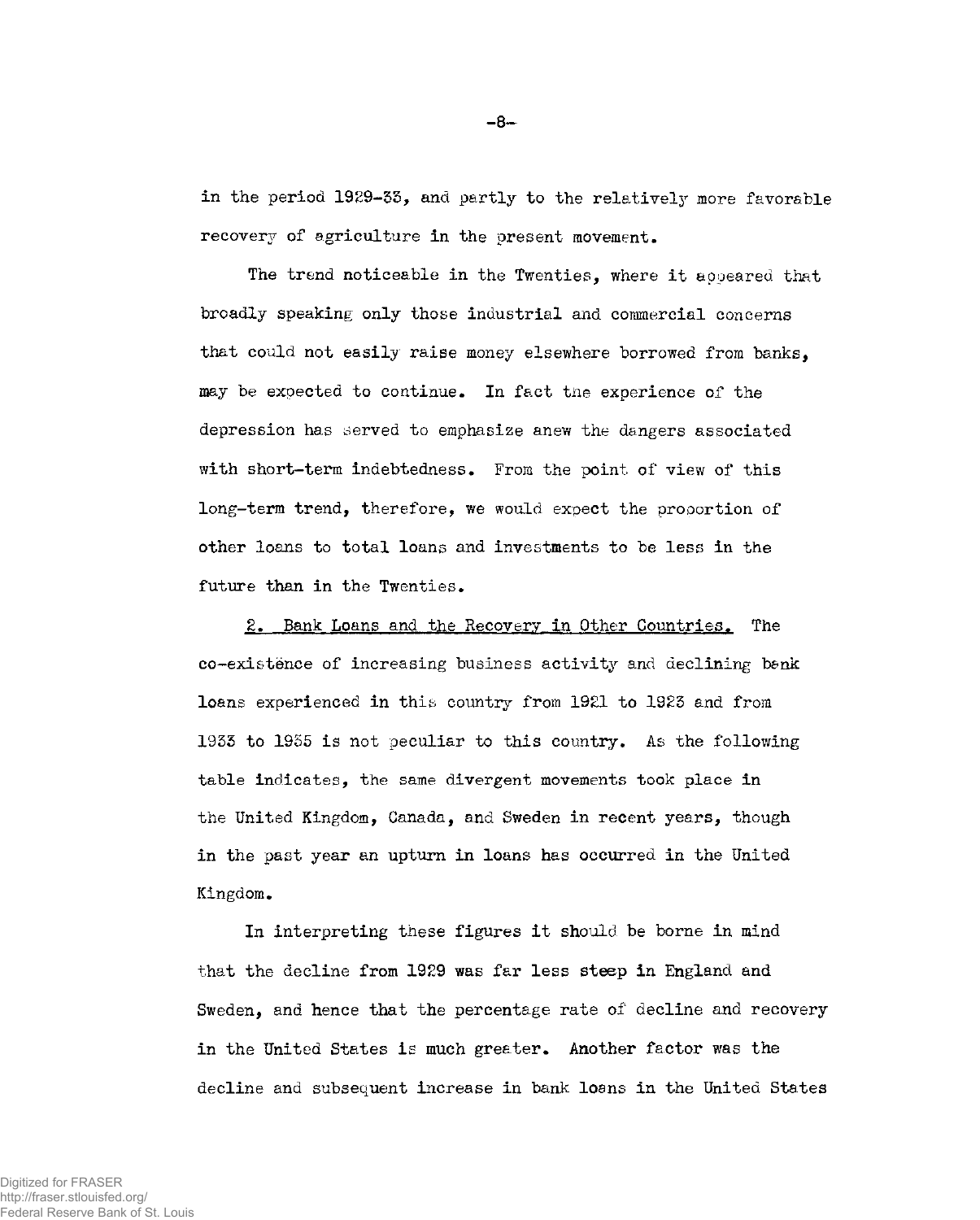in the period 1929-33, and partly to the relatively more favorable recovery of agriculture in the present movement.

The trend noticeable in the Twenties, where it appeared that broadly speaking only those industrial and commercial concerns that could not easily raise money elsewhere borrowed from banks, may be expected to continue. In fact the experience of the depression has served to emphasize anew the dangers associated with short-term indebtedness. From the point of view of this long-term trend, therefore, we would expect the proportion of other loans to total loans and investments to be less in the future than in the Twenties.

2. Bank Loans and the Recovery in Other Countries. The co-existence of increasing business activity and declining bank loans experienced in this country from 1921 to 1923 and from 1933 to 1955 is not peculiar to this country. As the following table indicates, the same divergent movements took place in the United Kingdom, Canada, and Sweden in recent years, though in the past year an upturn in loans has occurred in the United Kingdom.

In interpreting these figures it should be borne in mind that the decline from 1929 was far less steep in England and Sweden, and hence that the percentage rate of decline and recovery in the United States is much greater. Another factor was the decline and subsequent increase in bank loans in the United States

**-8-**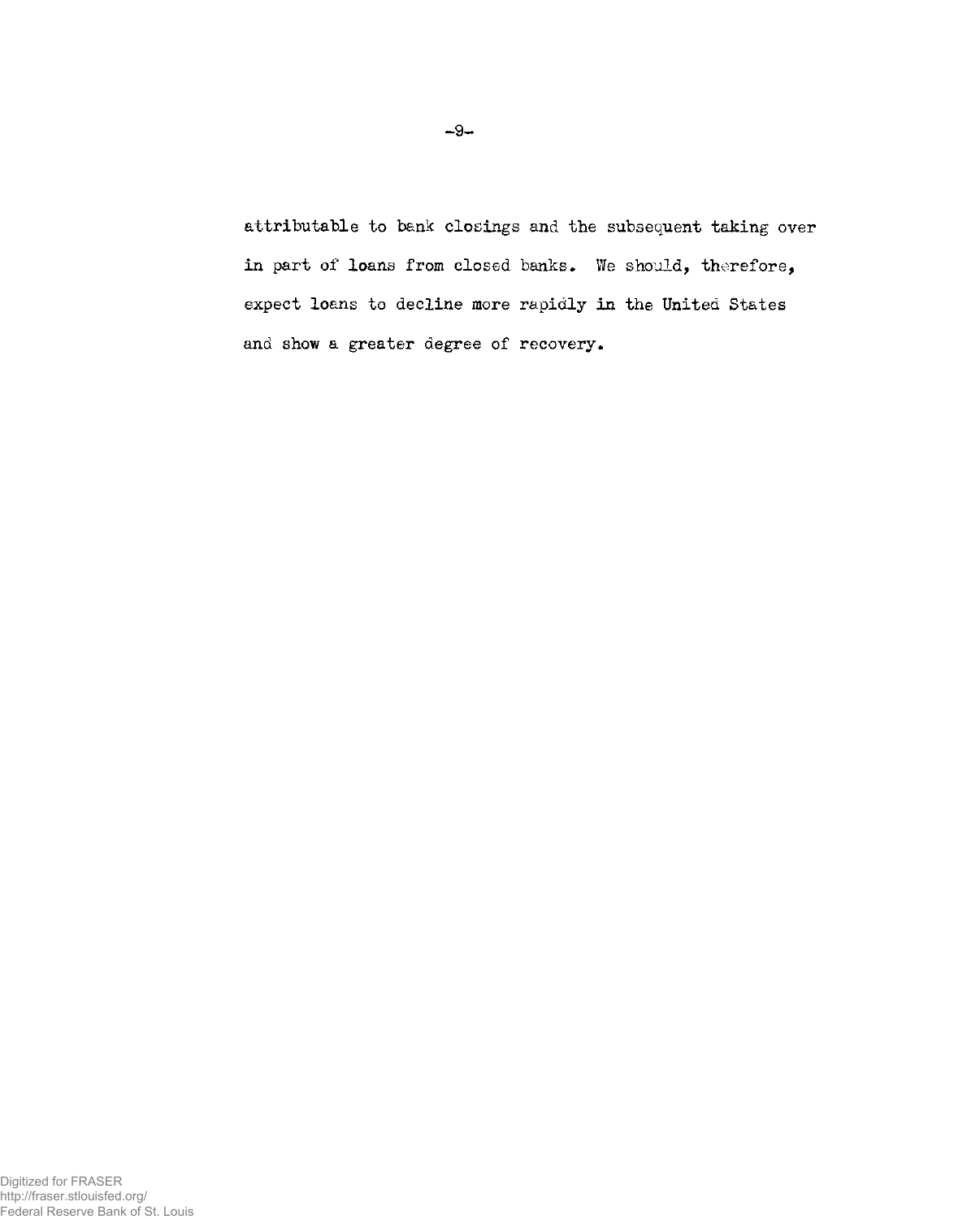attributable to bank closings and the subsequent taking over in part of loans from closed banks. We should, therefore, expect loans to decline more rapidly in the United States and show a greater degree of recovery.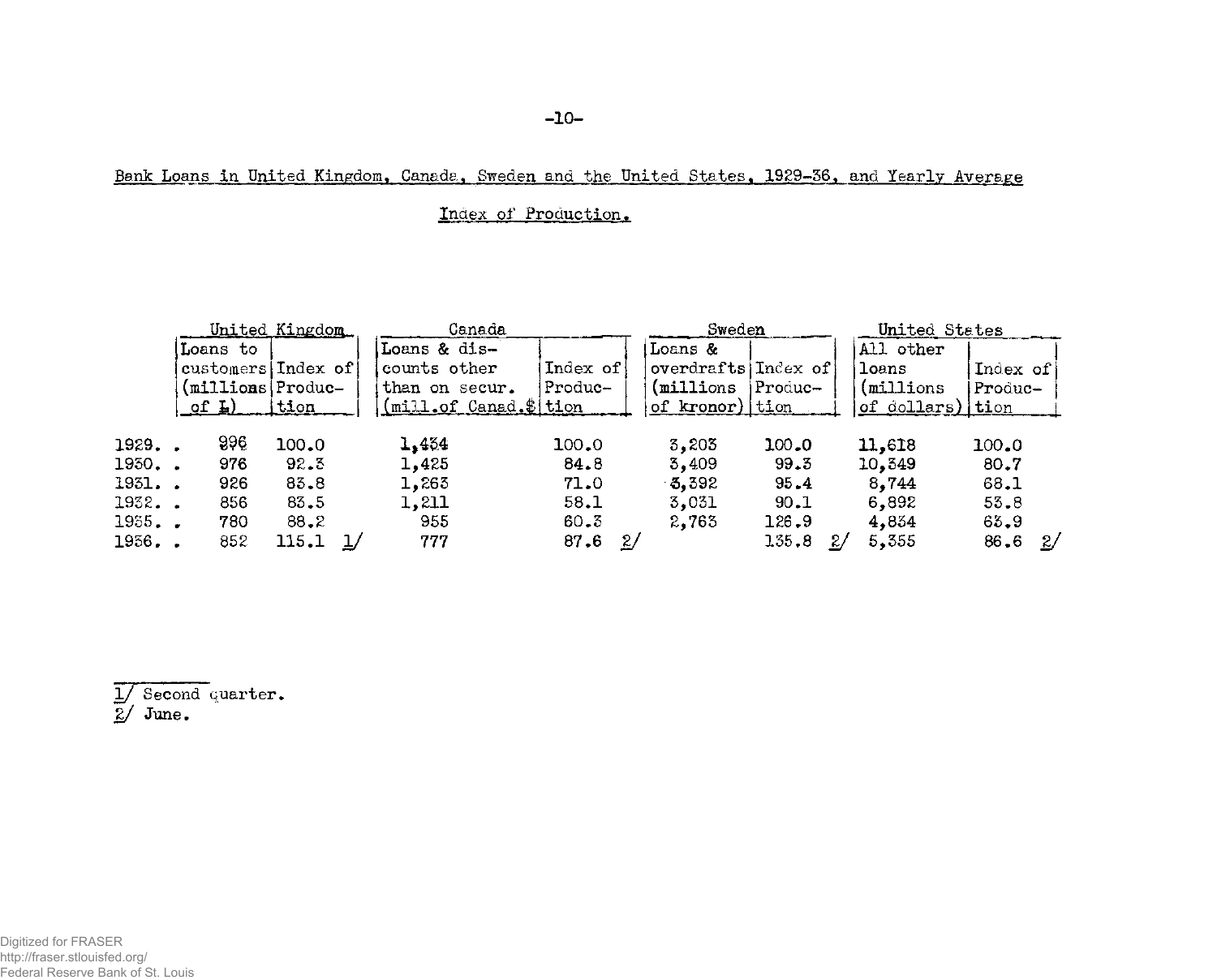### Bank Loans in United Kingdom, Canada, Sweden and the United States. 1929-56, and Yearly Average

# Index of Production.

|                 |              |          | United Kingdom     |              |                            | Canada |          |               | Sweden              |         |    | United States |           |               |
|-----------------|--------------|----------|--------------------|--------------|----------------------------|--------|----------|---------------|---------------------|---------|----|---------------|-----------|---------------|
|                 |              | Loans to |                    |              | Loans & dis-               |        |          |               | Loans &             |         |    | All other     |           |               |
|                 |              |          | customers Index of |              | counts other               |        | Index of |               | overdrafts Index of |         |    | loans         | .Index of |               |
|                 |              |          | (millions Produc-  |              | than on secur.             |        | Produc-  |               | (millions)          | Produc– |    | (millions)    | Produc-   |               |
|                 | <u>of L)</u> |          | tion               |              | $(mil. of Canada, $ $ tion |        |          |               | of kronor) tion     |         |    | of dollars)   | tion      |               |
| 1929. .         |              | 996      | 100.0              |              | 1,434                      |        | 100.0    |               | 3,203               | 100.0   |    | 11.618        | 100.0     |               |
| 1930. .         |              | 976      | 92.3               |              | 1,425                      |        | 84.8     |               | 3,409               | 99.3    |    | 10,349        | 80.7      |               |
| 1931. .         |              | 926      | 83.8               |              | 1,263                      |        | 71.0     |               | 3.392               | 95.4    |    | 8,744         | 68.1      |               |
| 1932. .         |              | 856      | 83.5               |              | 1,211                      |        | 58.1     |               | 3,031               | 90.1    |    | 6,892         | 55.8      |               |
| 1935. <b>.</b>  |              | 780      | 88.2               |              | 955                        |        | 60.3     |               | 2,763               | 126.9   |    | 4,834         | 63.9      |               |
| 1936 <b>. .</b> |              | 852      | 115.1              | $\mathbf{1}$ | 777                        |        | 87.6     | $\frac{2}{3}$ |                     | 135.8   | z/ | 5,355         | 86.6      | $\mathbb{Z}/$ |

1/ Second quarter.

2/ June.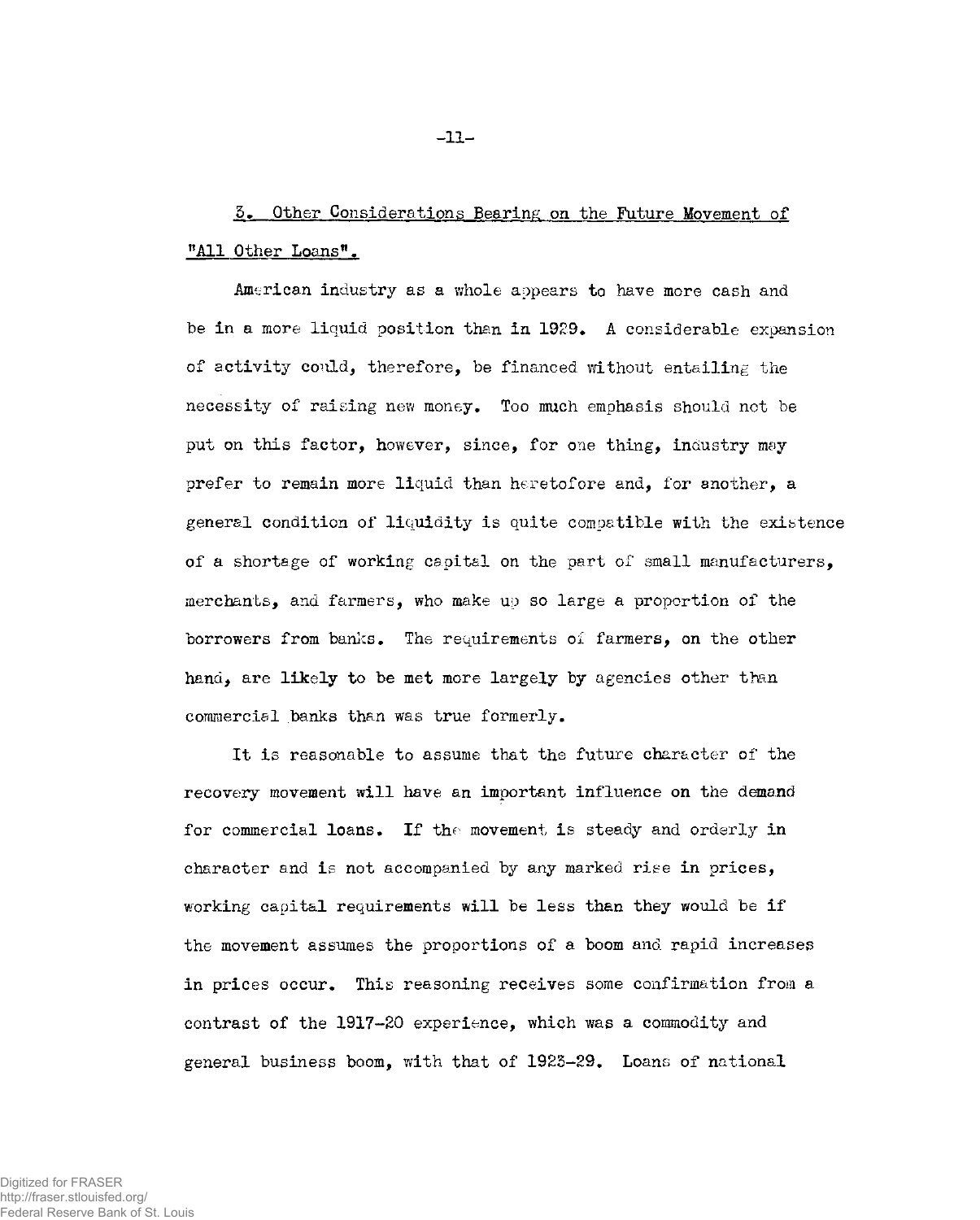# 5. Other Considerations Bearing on the Future Movement of "All Other Loans".

American industry as a whole appears to have more cash and be in a more liquid position than in 1929. A considerable expansion of activity could, therefore, be financed without entailing the necessity of raising new money. Too much emphasis should not be put on this factor, however, since, for one thing, industry may prefer to remain more liquid than heretofore and, for another, a general condition of liquidity is quite compatible with the existence of a shortage of working capital on the part of small manufacturers, merchants, and farmers, who make up so large a proportion of the borrowers from banks. The requirements of farmers, on the other hand, are likely to be met more largely by agencies other than commercial banks than was true formerly.

It is reasonable to assume that the future character of the recovery movement will have an important influence on the demand for commercial loans. If the movement is steady and orderly in character and is not accompanied by any marked rise in prices, working capital requirements will be less than they would be if the movement assumes the proportions of a boom and rapid increases in prices occur. This reasoning receives some confirmation from a contrast of the 1917-20 experience, which was a commodity and general business boom, with that of 1923-29. Loans of national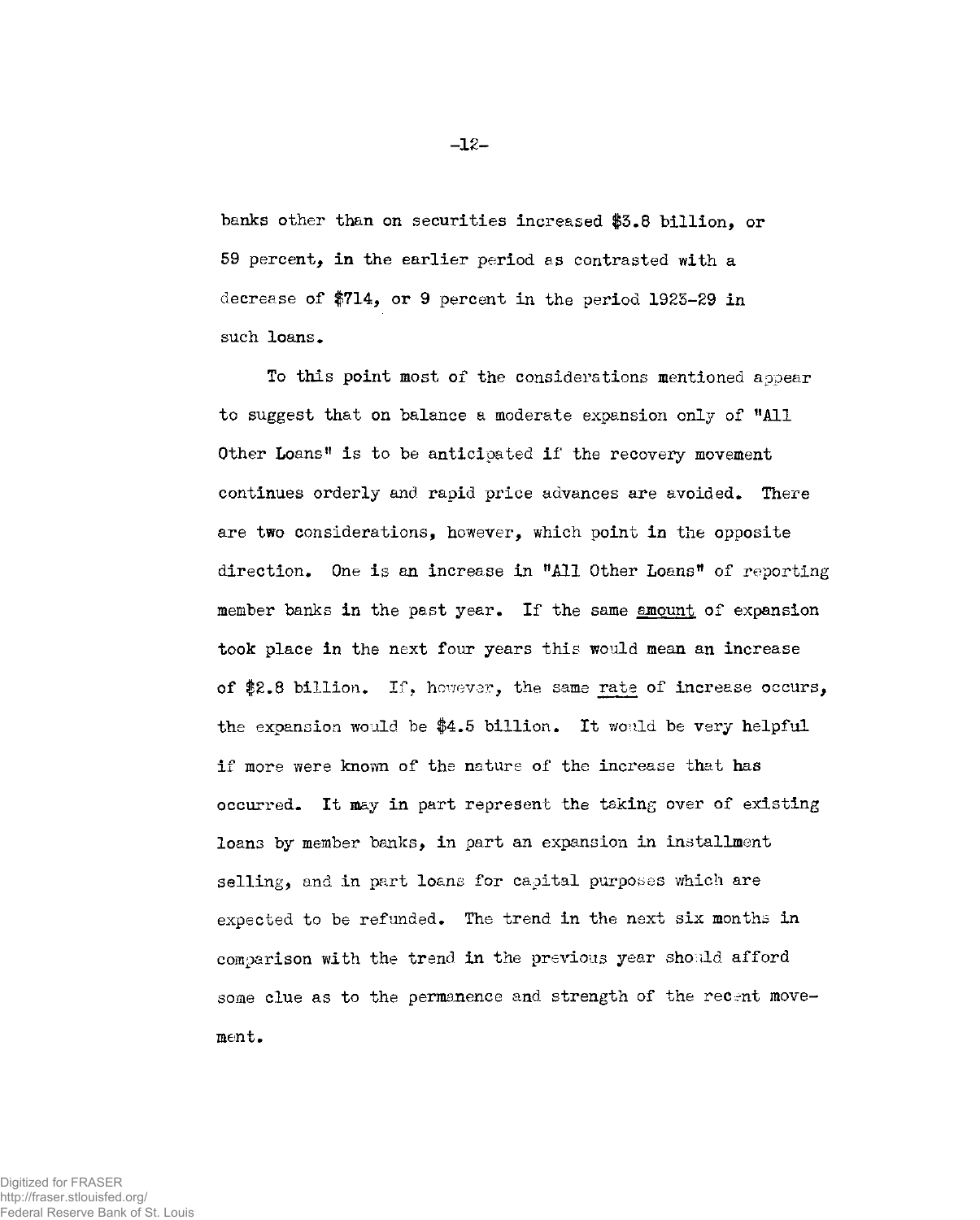banks other than on securities increased #3.8 billion, or 59 percent, in the earlier period as contrasted with a decrease of \$714, or 9 percent in the period 1923-29 in such loans.

To this point most of the considerations mentioned appear to suggest that on balance a moderate expansion only of "All Other Loans" is to be anticipated if the recovery movement continues orderly and rapid price advances are avoided. There are two considerations, however, which point in the opposite direction. One is an increase in "All Other Loans" of reporting member banks in the past year. If the same <u>amount</u> of expansion took place in the next four years this would mean an increase of \$2.8 billion. If, however, the same rate of increase occurs, the expansion would be \$4.5 billion. It would be very helpful if more were known of the nature of the increase that has occurred. It may in part represent the taking over of existing loans by member banks, in part an expansion in installment selling, and in part loans for capital purposes which are expected to be refunded. The trend in the next six months in comparison with the trend in the previous year should afford some clue as to the permanence and strength of the recent movement.

**-12-**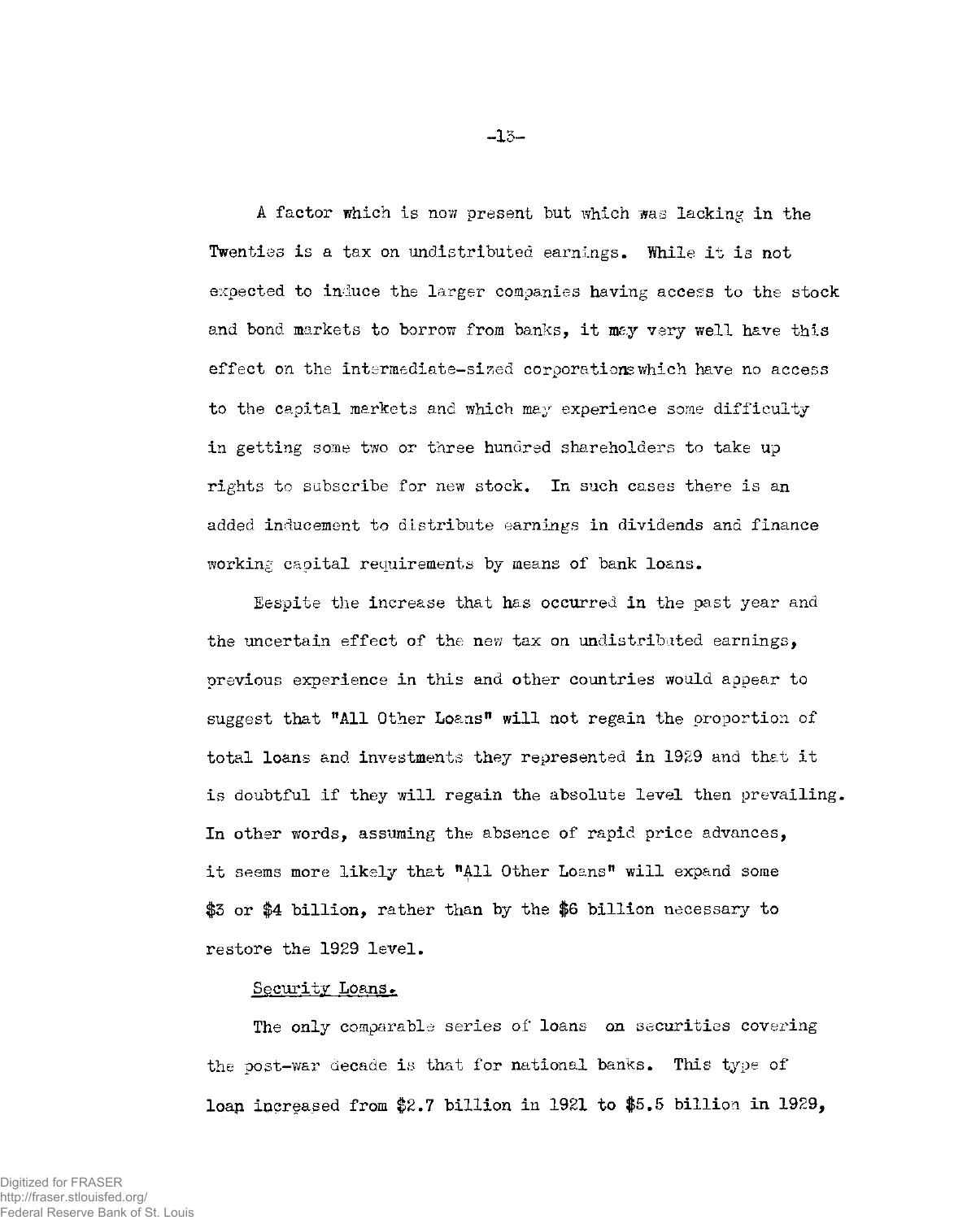A factor which is now present but which was lacking in the Twenties is a tax on undistributed earnings. While it is not expected to induce the larger companies having access to the stock and bond markets to borrow from banks, it **may** very well have this effect on the intermediate-sized corporationswhich have no access to the capital markets and which may experience some difficulty in getting some two or three hundred shareholders to take up rights to subscribe for new stock. In such cases there is an added inducement to distribute earnings in dividends ana finance working capital requirements by means of bank loans.

Eespite the increase that has occurred in the past year and the uncertain effect of the new tax on undistributed earnings, previous experience in this and other countries would appear to suggest that "All Other Loans" will not regain the proportion of total loans and investments they represented in 1929 and that it is doubtful if they will regain the absolute level then prevailing. In other words, assuming the absence of rapid price advances, it seems more likely that "All Other Loans" will expand some \$3 or \$4 billion, rather than by the \$6 billion necessary to restore the 1929 level.

### Security Loans.

The only comparable series of loans on securities covering the post-war decade is that for national banks. This type of loan increased from \$2.7 billion in 1921 to \$5.5 billion in 1929,

**-13-**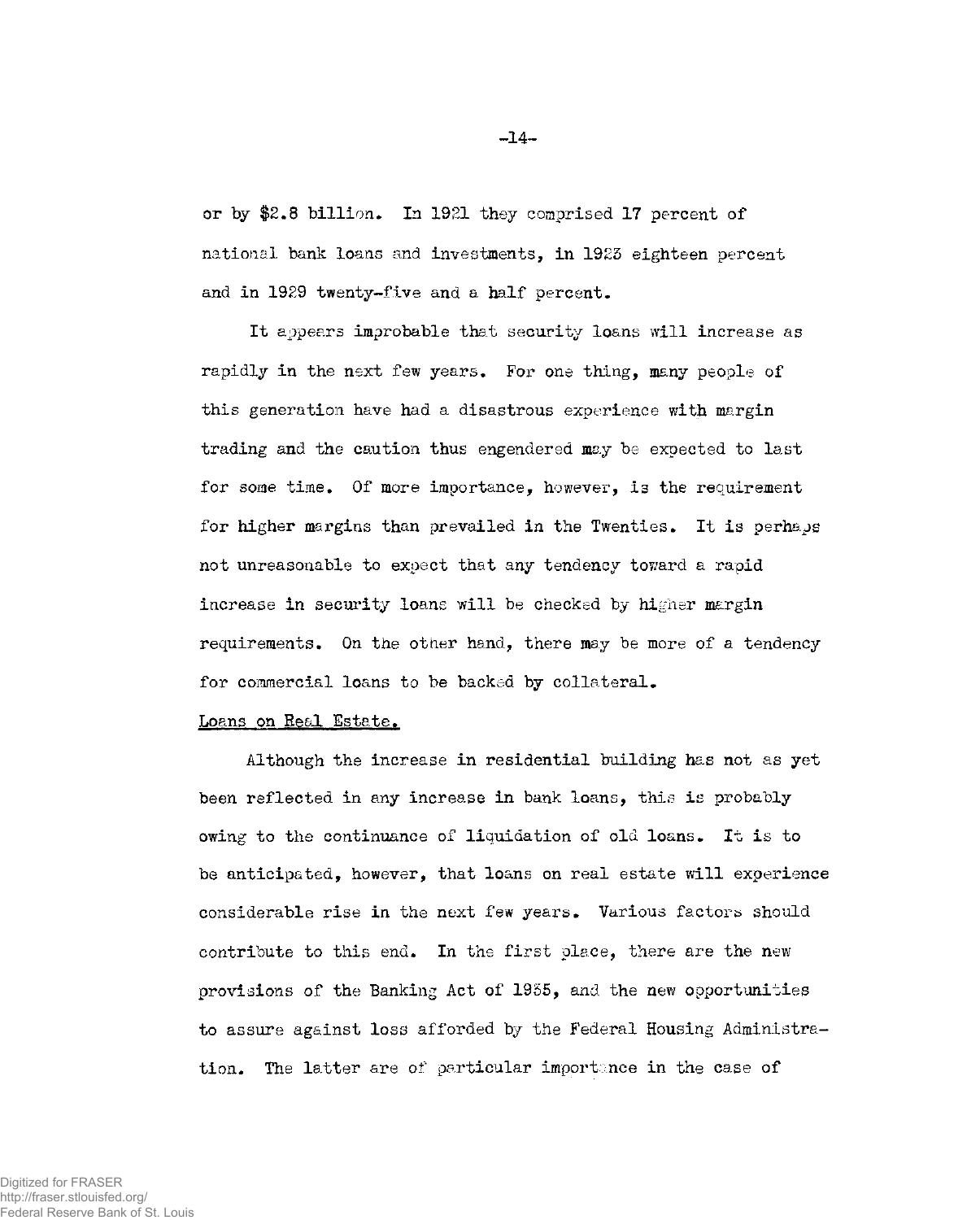or by \$2.8 billion. In 1921 they comprised 17 percent of national bank loans and investments, in 1925 eighteen percent and in 1929 twenty-five and a half percent.

It appears improbable that security loans will increase as rapidly in the next few years. For one thing, many people of this generation have had a disastrous experience with margin trading and the caution thus engendered may be expected to last for some time. Of more importance, however, is the requirement for higher margins than prevailed in the Twenties. It is perhaps not unreasonable to expect that any tendency toward a rapid increase in security loans will be checked by higher margin requirements. On the other hand, there may be more of a tendency for commercial loans to be backed by collateral.

### Loans on Real Estate.

Although the increase in residential building has not as yet been reflected in any increase in bank loans, this is probably owing to the continuance of liquidation of old loans. It is to be anticipated, however, that loans on real estate will experience considerable rise in the next few years. Various factors should contribute to this end. In the first place, there are the new provisions of the Banking Act of 1955, and the new opportunities to assure against loss afforded by the Federal Housing Administration. The latter are of particular importance in the case of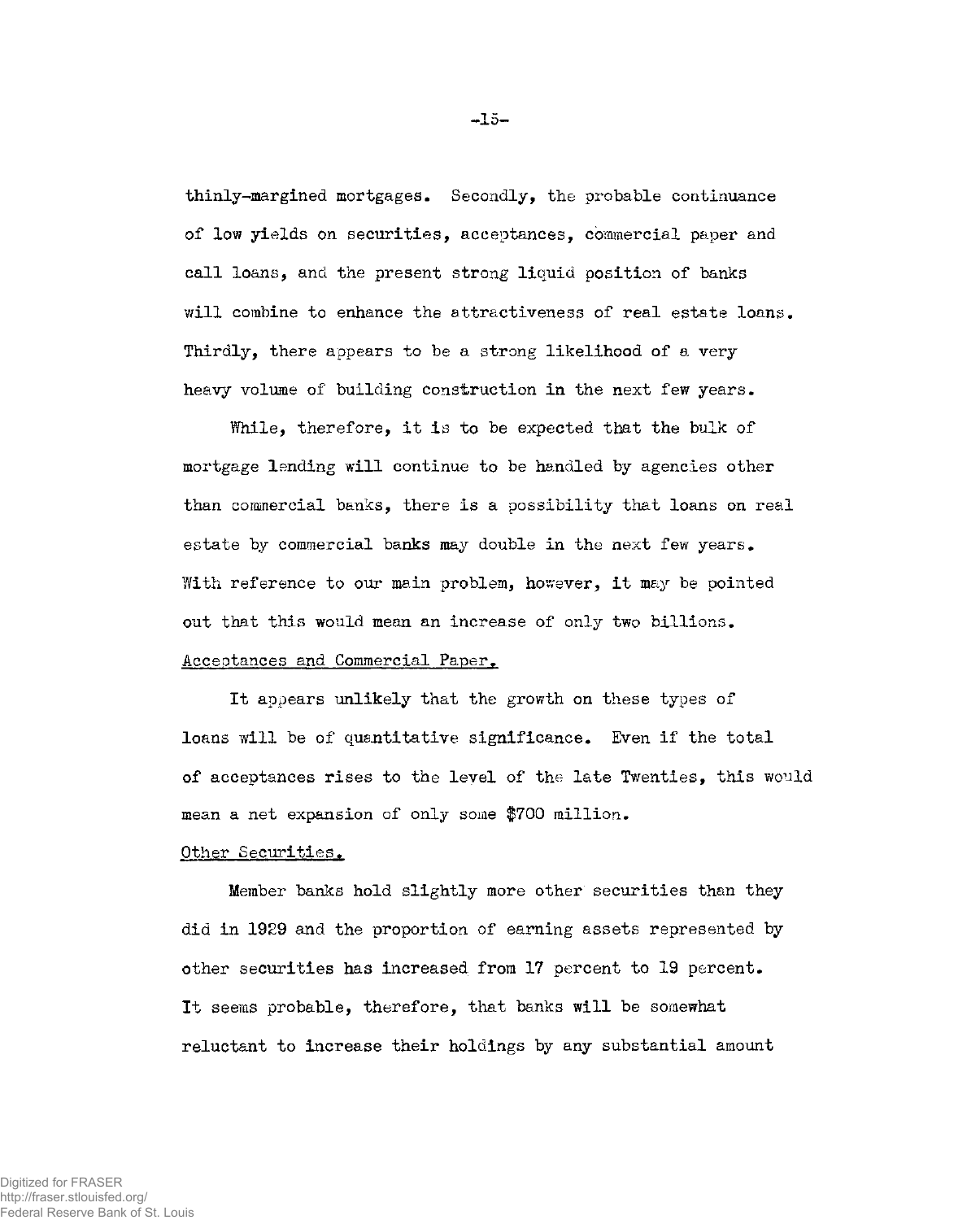thinly-margined mortgages. Secondly, the probable continuance of low yields on securities, acceptances, commercial paper and call loans, and the present strong liquid position of banks will combine to enhance the attractiveness of real estate loans. Thirdly, there appears to be a strong likelihood of a very heavy volume of building construction in the next few years.

While, therefore, it is to be expected that the bulk of mortgage lending will continue to be handled by agencies other than commercial banks, there is a possibility that loans on real estate by commercial banks may double in the next few years. With reference to our main problem, however, it may be pointed out that this would mean an increase of only two billions.

### Acceptances and Commercial Paper.

It appears unlikely that the growth on these types of loans will be of quantitative significance. Even if the total of acceptances rises to the level of the late Twenties, this would mean a net expansion of only some \$700 million.

### Other Securities.

Member banks hold slightly more other securities than they did in 1929 and the proportion of earning assets represented by other securities has increased from 17 percent to 19 percent. It seems probable, therefore, that banks will be somewhat reluctant to increase their holdings by any substantial amount

**-15-**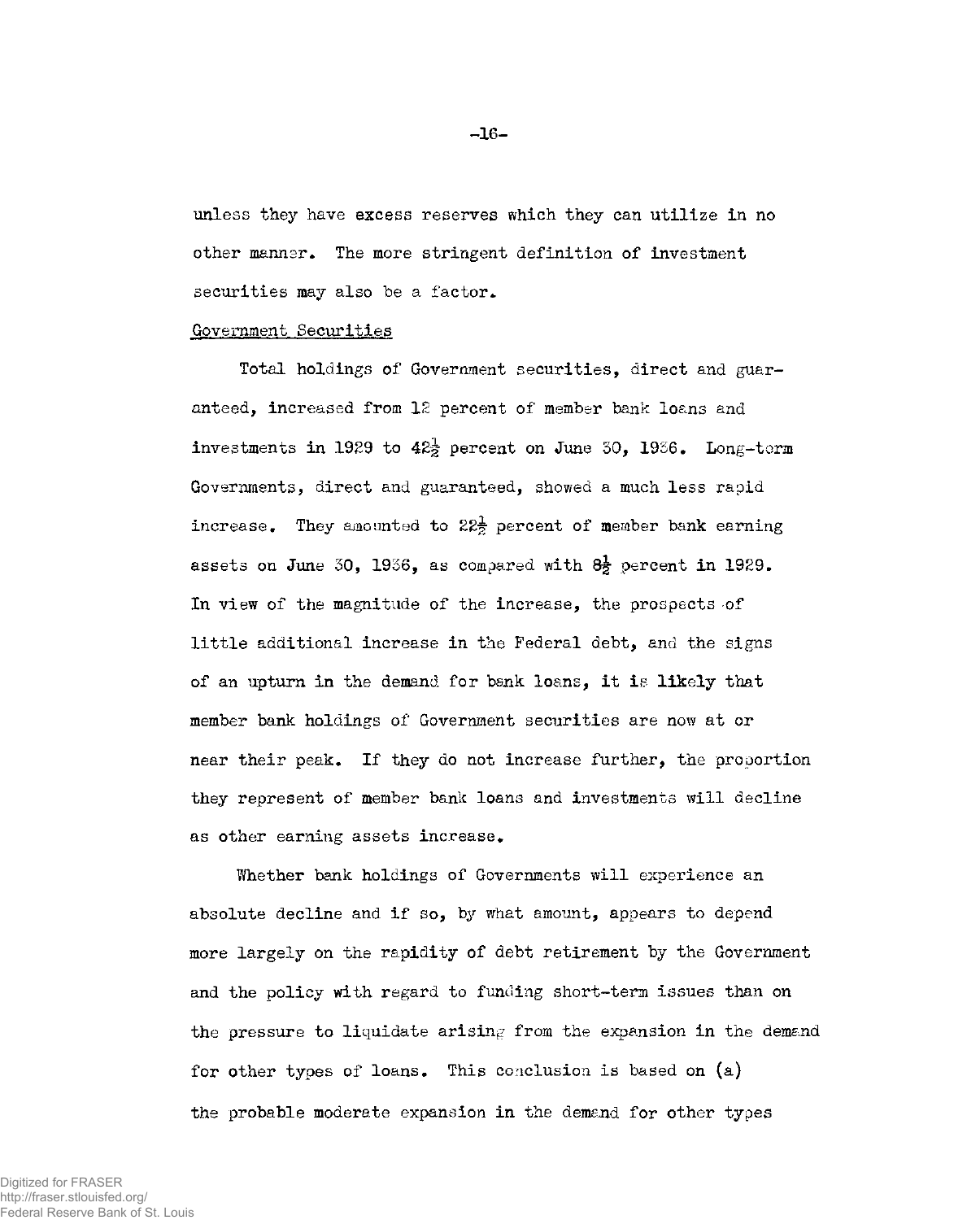unless they have excess reserves which they can utilize in no other manner. The more stringent definition of investment securities may also be a factor.

#### Government Securities

Total holdings of Government securities, direct and guaranteed, increased from 12 percent of member bank loans and investments in 1929 to  $42\frac{1}{2}$  percent on June 30, 1936. Long-term Governments, direct and guaranteed, showed a much less rapid increase. They amounted to  $22\frac{1}{2}$  percent of member bank earning assets on June 30, 1936, as compared with  $8\frac{1}{2}$  percent in 1929. In view of the magnitude of the increase, the prospects of little additional increase in the Federal debt, and the signs of an upturn in the demand for bank loans, it is likely that member bank holdings of Government securities are now at or near their peak. If they do not increase further, the proportion they represent of member bank loans and investments will decline as other earning assets increase.

Whether bank holdings of Governments will experience an absolute decline and if so, by what amount, appears to depend more largely on the rapidity of debt retirement by the Government and the policy with regard to funding short-term issues than on the pressure to liquidate arising from the expansion in the demand for other types of loans. This conclusion is based on (a) the probable moderate expansion in the demand for other types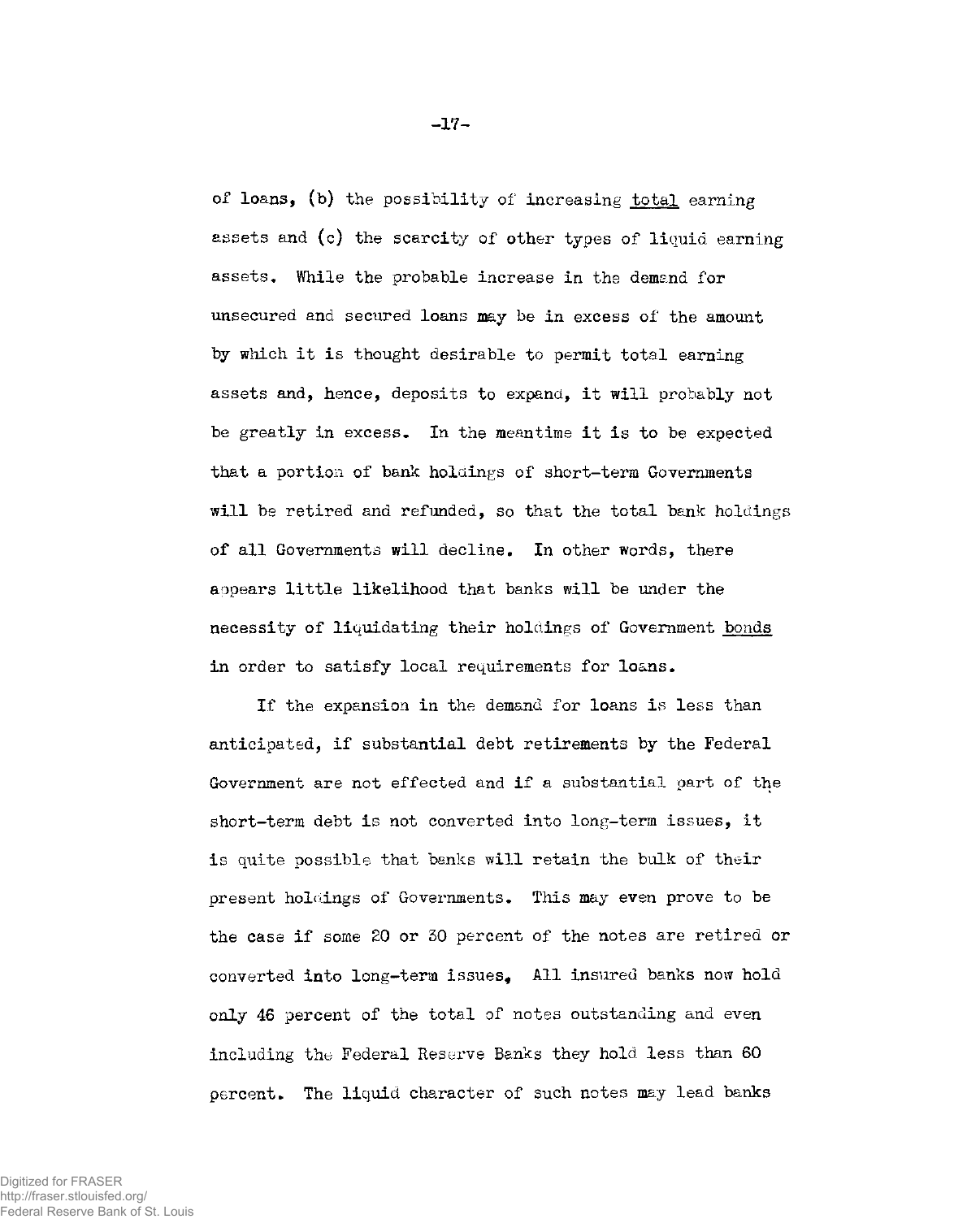of loans, (b) the possibility of increasing total earning assets and (c) the scarcity of other types of liquid earning assets. While the probable increase in the demand for unsecured and secured loans may be in excess of the amount by which it is thought desirable to permit total earning assets and, hence, deposits to expand, it will probably not be greatly in excess. In the meantime it is to be expected that a portion of bank holdings of short-term Governments will be retired and refunded, so that the total bank holdings of all Governments will decline. In other words, there appears little likelihood that banks will be under the necessity of liquidating their holdings of Government bonds in order to satisfy local requirements for loans.

If the expansion in the demand for loans is less than anticipated, if substantial debt retirements by the Federal Government are not effected and if a substantial part of the short-term debt is not converted into long-term issues, it is quite possible that banks will retain the bulk of their present holdings of Governments. This may even prove to be the case if some 20 or 30 percent of the notes are retired or converted into long-term issues. All insured banks now hold only 46 percent of the total of notes outstanding and even including the Federal Reserve Banks they hold less than 60 percent. The liquid character of such notes may lead banks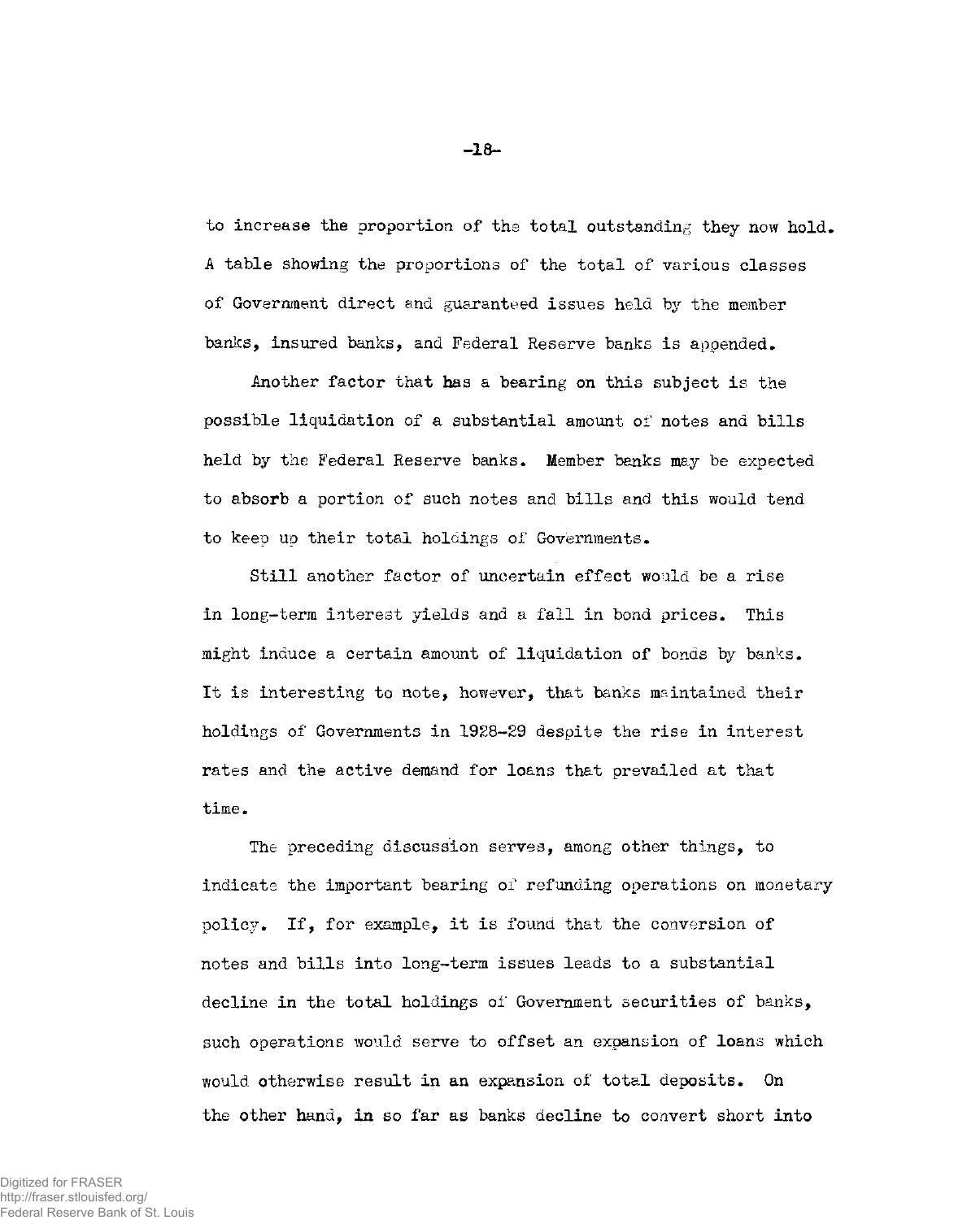to increase the proportion of the total outstanding they now hold. A table showing the proportions of the total of various classes of Government direct and guaranteed issues held by the member banks, insured banks, and Federal Reserve banks is appended.

Another factor that has a bearing on this subject is the possible liquidation of a substantial amount of notes and bills held by the Federal Reserve banks. Member banks may be expected to absorb a portion of such notes and bills and this would tend to keep up their total holdings of Governments.

Still another factor of uncertain effect would be a rise in long-term interest yields and a fall in bond prices. This might induce a certain amount of liquidation of bonds by banks. It is interesting to note, however, that banks maintained their holdings of Governments in 1928-29 despite the rise in interest rates and the active demand for loans that prevailed at that time.

The preceding discussion serves, among other things, to indicate the important bearing of refunding operations on monetary policy. If, for example, it is found that the conversion of notes and bills into long-term issues leads to a substantial decline in the total holdings of Government securities of banks, such operations would serve to offset an expansion of loans which would otherwise result in an expansion of total deposits. On the other hand, in so far as banks decline to convert short into

**-18-**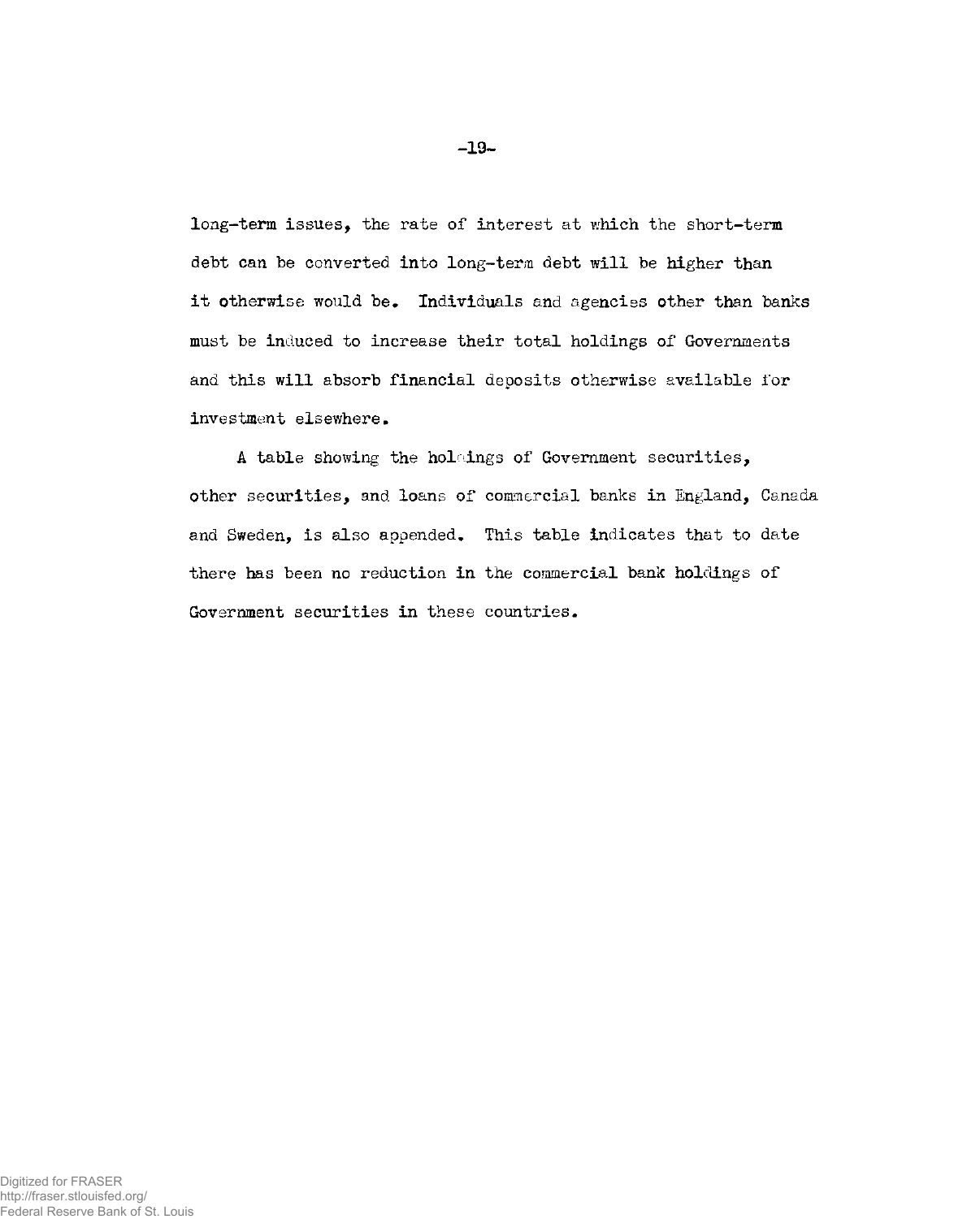long-term issues, the rate of interest at which the short-term debt can be converted into long-term debt will be higher than it otherwise would be. Individuals and agencies other than banks must be induced to increase their total holdings of Governments and this will absorb financial deposits otherwise available for investment elsewhere.

A table showing the holdings of Government securities, other securities, and loans of commercial banks in England, Canada and Sweden, is also appended. This table indicates that to date there has been no reduction in the commercial bank holdings of Government securities in these countries.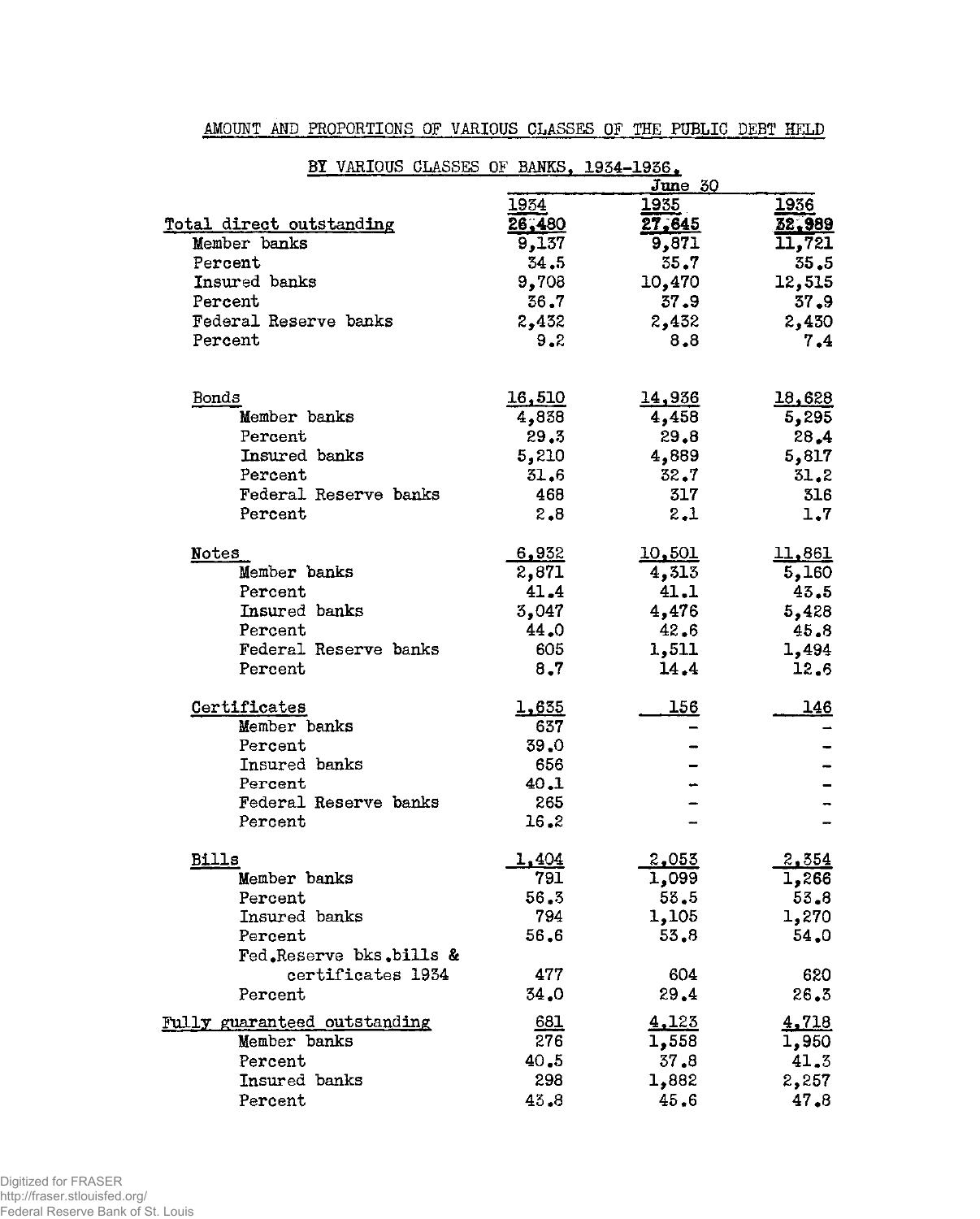| BY VARIOUS CLASSES OF BANKS, 1934-1936. |               |               |               |
|-----------------------------------------|---------------|---------------|---------------|
|                                         |               | June 30       |               |
|                                         | 1934          | 1935          | 1936          |
| <u>Total direct outstanding</u>         | 26,480        | 27,645        | 32,989        |
| Member banks                            | 9,137         | 9,871         | 11,721        |
| Percent                                 | 34.5          | 35.7          | 35.5          |
| Insured banks                           | 9,708         | 10,470        | 12,515        |
| Percent                                 | 36.7          | 37.9          | 37.9          |
| Federal Reserve banks                   | 2,432         | 2,432         | 2,430         |
| Percent                                 | 9.2           | 8,8           | 7.4           |
|                                         |               |               |               |
|                                         |               |               |               |
| Bonds                                   | <u>16,510</u> | <u>14,936</u> | <u>18,628</u> |
| Member banks                            | 4,838         | 4,458         | 5,295         |
| Percent                                 | 29.3          | 29.8          | 28.4          |
| Insured banks                           | 5,210         | 4,889         | 5,817         |
| Percent                                 | 31.6          | 32.7          | 31.2          |
| Federal Reserve banks                   | 468           | 317           | 316           |
| Percent                                 | 2.8           | 2.1           | 1.7           |
|                                         |               |               |               |
| <b>Notes</b>                            | 6,932         | <u>10,501</u> | 11,861        |
| Member banks                            | 2,871         | 4,313         | 5,160         |
| Percent                                 | 41.4          | 41.1          | 43.5          |
| Insured banks                           | 3,047         | 4,476         | 5,428         |
| Percent                                 | 44.0          | 42.6          | 45.8          |
| Federal Reserve banks                   | 605           | 1,511         | 1,494         |
| Percent                                 | 8.7           | 14.4          | 12.6          |
| Certificates                            | 1,635         | <u> 156</u>   | 146           |
| Member banks                            | 637           |               |               |
| Percent                                 | 39.0          |               |               |
| Insured banks                           | 656           |               |               |
| Percent                                 | 40.1          |               |               |
| Federal Reserve banks                   | 265           |               |               |
| Percent                                 | 16.2          |               |               |
|                                         |               |               |               |
| Bills                                   | 1,404         | 2,053         | 2,354         |
| Member banks                            | 791           | 1,099         | 1,266         |
| Percent                                 | 56.3          | 53.5          | 53.8          |
| Insured banks                           | 794           | 1,105         | 1,270         |
| Percent                                 | 56.6          | 53.8          | 54.0          |
| Fed.Reserve bks.bills &                 |               |               |               |
| certificates 1934                       | 477           | 604           | 620           |
| Percent                                 | 34,0          | 29.4          | 26.3          |
| Fully guaranteed outstanding            | 681           | 4.123         | 4,718         |
| Member banks                            | 276           | 1,558         | 1,950         |
| Percent                                 | 40.5          | 37.8          | 41.3          |
| Insured banks                           | 298           | 1,882         | 2,257         |
| Percent                                 | 43.8          | 45.6          | 47,8          |

**AMOUNT AND PROPORTIONS OF VARIOUS CLASSES OF THE PUBLIC DEBT HELD**